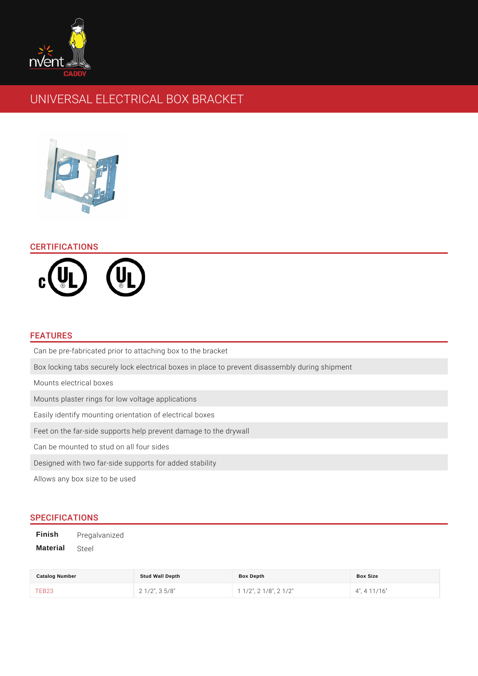# UNIVERSAL ELECTRICAL BOX BRACKET

## CERTIFICATIONS

#### FEATURES

Can be pre-fabricated prior to attaching box to the bracket Box locking tabs securely lock electrical boxes in place to prevent disassembly Mounts electrical boxes Mounts plaster rings for low voltage applications Easily identify mounting orientation of electrical boxes Feet on the far-side supports help prevent damage to the drywall Can be mounted to stud on all four sides Designed with two far-side supports for added stability Allows any box size to be used

## SPECIFICATIONS

Finish Pregalvanized Material Steel

| Catalog Number | Stud Wall Depth     | Box Depth                     | Box Size          |
|----------------|---------------------|-------------------------------|-------------------|
| TEB23          | $2 \t1/2$ ", 3 5/8" | $1 \t1/2$ , 2 $1/8$ , 2 $1/2$ | $4"$ , $4'11/16"$ |